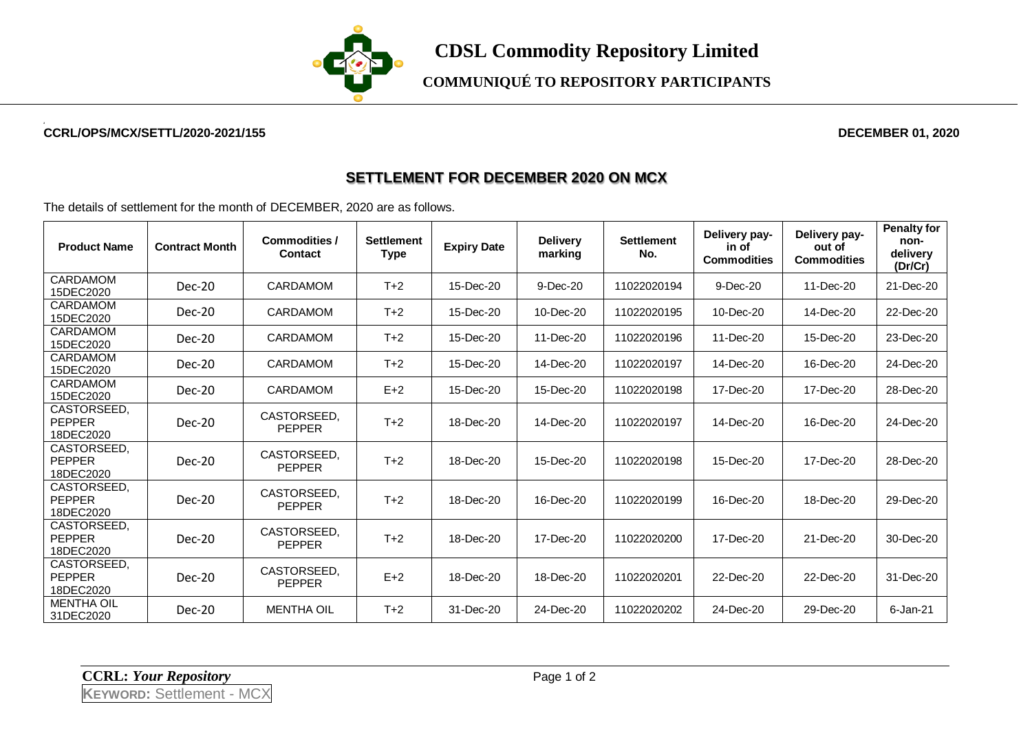

**COMMUNIQUÉ TO REPOSITORY PARTICIPANTS**

## **CCRL/OPS/MCX/SETTL/2020-2021/155 DECEMBER 01, 2020**

## **SETTLEMENT FOR DECEMBER 2020 ON MCX**

The details of settlement for the month of DECEMBER, 2020 are as follows.

| <b>Product Name</b>                       | <b>Contract Month</b> | <b>Commodities /</b><br><b>Contact</b> | <b>Settlement</b><br><b>Type</b> | <b>Expiry Date</b> | <b>Delivery</b><br>marking | <b>Settlement</b><br>No. | Delivery pay-<br>in of<br><b>Commodities</b> | Delivery pay-<br>out of<br><b>Commodities</b> | <b>Penalty for</b><br>non-<br>delivery<br>(Dr/Cr) |
|-------------------------------------------|-----------------------|----------------------------------------|----------------------------------|--------------------|----------------------------|--------------------------|----------------------------------------------|-----------------------------------------------|---------------------------------------------------|
| CARDAMOM<br>15DEC2020                     | $Dec-20$              | <b>CARDAMOM</b>                        | $T+2$                            | 15-Dec-20          | 9-Dec-20                   | 11022020194              | 9-Dec-20                                     | 11-Dec-20                                     | 21-Dec-20                                         |
| <b>CARDAMOM</b><br>15DEC2020              | $Dec-20$              | <b>CARDAMOM</b>                        | $T+2$                            | 15-Dec-20          | 10-Dec-20                  | 11022020195              | 10-Dec-20                                    | 14-Dec-20                                     | 22-Dec-20                                         |
| <b>CARDAMOM</b><br>15DEC2020              | $Dec-20$              | <b>CARDAMOM</b>                        | $T+2$                            | 15-Dec-20          | 11-Dec-20                  | 11022020196              | 11-Dec-20                                    | 15-Dec-20                                     | 23-Dec-20                                         |
| CARDAMOM<br>15DEC2020                     | $Dec-20$              | CARDAMOM                               | $T+2$                            | 15-Dec-20          | 14-Dec-20                  | 11022020197              | 14-Dec-20                                    | 16-Dec-20                                     | 24-Dec-20                                         |
| CARDAMOM<br>15DEC2020                     | Dec-20                | CARDAMOM                               | $E+2$                            | 15-Dec-20          | 15-Dec-20                  | 11022020198              | 17-Dec-20                                    | 17-Dec-20                                     | 28-Dec-20                                         |
| CASTORSEED.<br><b>PEPPER</b><br>18DEC2020 | $Dec-20$              | CASTORSEED.<br><b>PEPPER</b>           | $T+2$                            | 18-Dec-20          | 14-Dec-20                  | 11022020197              | 14-Dec-20                                    | 16-Dec-20                                     | 24-Dec-20                                         |
| CASTORSEED.<br><b>PEPPER</b><br>18DEC2020 | Dec-20                | CASTORSEED,<br><b>PEPPER</b>           | $T+2$                            | 18-Dec-20          | 15-Dec-20                  | 11022020198              | 15-Dec-20                                    | 17-Dec-20                                     | 28-Dec-20                                         |
| CASTORSEED.<br><b>PEPPER</b><br>18DEC2020 | Dec-20                | CASTORSEED.<br><b>PEPPER</b>           | $T+2$                            | 18-Dec-20          | 16-Dec-20                  | 11022020199              | 16-Dec-20                                    | 18-Dec-20                                     | 29-Dec-20                                         |
| CASTORSEED.<br><b>PEPPER</b><br>18DEC2020 | Dec-20                | CASTORSEED.<br><b>PEPPER</b>           | $T+2$                            | 18-Dec-20          | 17-Dec-20                  | 11022020200              | 17-Dec-20                                    | 21-Dec-20                                     | 30-Dec-20                                         |
| CASTORSEED,<br><b>PEPPER</b><br>18DEC2020 | Dec-20                | CASTORSEED.<br><b>PEPPER</b>           | $E+2$                            | 18-Dec-20          | 18-Dec-20                  | 11022020201              | 22-Dec-20                                    | 22-Dec-20                                     | 31-Dec-20                                         |
| <b>MENTHA OIL</b><br>31DEC2020            | Dec-20                | <b>MENTHA OIL</b>                      | $T+2$                            | 31-Dec-20          | 24-Dec-20                  | 11022020202              | 24-Dec-20                                    | 29-Dec-20                                     | 6-Jan-21                                          |